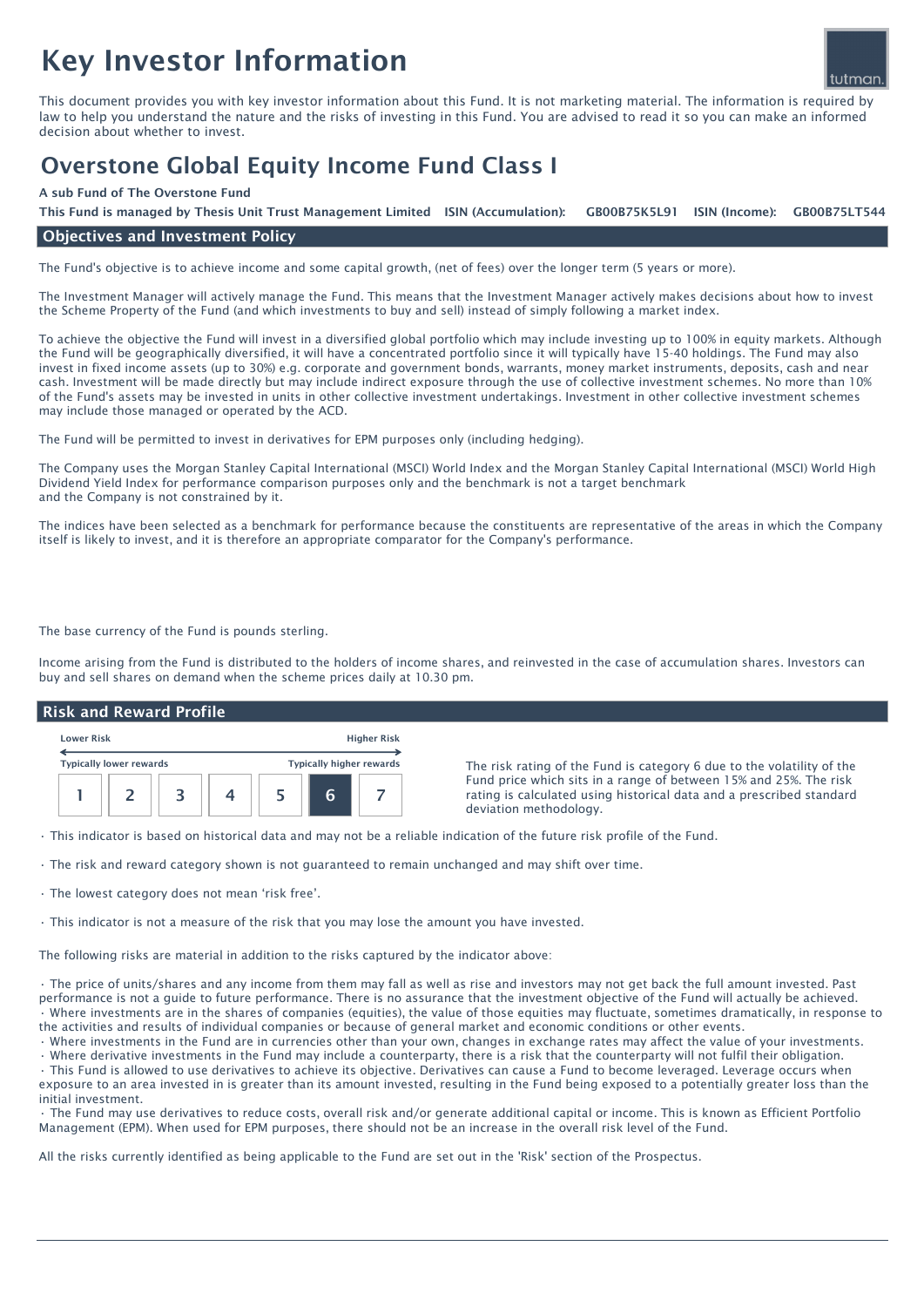# Key Investor Information



This document provides you with key investor information about this Fund. It is not marketing material. The information is required by law to help you understand the nature and the risks of investing in this Fund. You are advised to read it so you can make an informed decision about whether to invest.

## Overstone Global Equity Income Fund Class I

#### A sub Fund of The Overstone Fund

GB00B75K5L91 ISIN (Income): This Fund is managed by Thesis Unit Trust Management Limited ISIN (Accumulation): GB00B75K5L91 ISIN (Income): GB00B75LT544

#### Objectives and Investment Policy

The Fund's objective is to achieve income and some capital growth, (net of fees) over the longer term (5 years or more).

The Investment Manager will actively manage the Fund. This means that the Investment Manager actively makes decisions about how to invest the Scheme Property of the Fund (and which investments to buy and sell) instead of simply following a market index.

To achieve the objective the Fund will invest in a diversified global portfolio which may include investing up to 100% in equity markets. Although the Fund will be geographically diversified, it will have a concentrated portfolio since it will typically have 15-40 holdings. The Fund may also invest in fixed income assets (up to 30%) e.g. corporate and government bonds, warrants, money market instruments, deposits, cash and near cash. Investment will be made directly but may include indirect exposure through the use of collective investment schemes. No more than 10% of the Fund's assets may be invested in units in other collective investment undertakings. Investment in other collective investment schemes may include those managed or operated by the ACD.

The Fund will be permitted to invest in derivatives for EPM purposes only (including hedging).

The Company uses the Morgan Stanley Capital International (MSCI) World Index and the Morgan Stanley Capital International (MSCI) World High Dividend Yield Index for performance comparison purposes only and the benchmark is not a target benchmark and the Company is not constrained by it.

The indices have been selected as a benchmark for performance because the constituents are representative of the areas in which the Company itself is likely to invest, and it is therefore an appropriate comparator for the Company's performance.

The base currency of the Fund is pounds sterling.

Income arising from the Fund is distributed to the holders of income shares, and reinvested in the case of accumulation shares. Investors can buy and sell shares on demand when the scheme prices daily at 10.30 pm.

#### Risk and Reward Profile

| <b>Lower Risk</b>              |  |  |  | <b>Higher Risk</b>              |    |  |
|--------------------------------|--|--|--|---------------------------------|----|--|
| <b>Typically lower rewards</b> |  |  |  | <b>Typically higher rewards</b> |    |  |
|                                |  |  |  |                                 | ุค |  |

The risk rating of the Fund is category 6 due to the volatility of the Fund price which sits in a range of between 15% and 25%. The risk rating is calculated using historical data and a prescribed standard deviation methodology.

• This indicator is based on historical data and may not be a reliable indication of the future risk profile of the Fund.

• The risk and reward category shown is not guaranteed to remain unchanged and may shift over time.

• The lowest category does not mean 'risk free'.

• This indicator is not a measure of the risk that you may lose the amount you have invested.

The following risks are material in addition to the risks captured by the indicator above:

• The price of units/shares and any income from them may fall as well as rise and investors may not get back the full amount invested. Past performance is not a guide to future performance. There is no assurance that the investment objective of the Fund will actually be achieved. • Where investments are in the shares of companies (equities), the value of those equities may fluctuate, sometimes dramatically, in response to the activities and results of individual companies or because of general market and economic conditions or other events.

• Where investments in the Fund are in currencies other than your own, changes in exchange rates may affect the value of your investments.

• Where derivative investments in the Fund may include a counterparty, there is a risk that the counterparty will not fulfil their obligation. • This Fund is allowed to use derivatives to achieve its objective. Derivatives can cause a Fund to become leveraged. Leverage occurs when exposure to an area invested in is greater than its amount invested, resulting in the Fund being exposed to a potentially greater loss than the initial investment.

• The Fund may use derivatives to reduce costs, overall risk and/or generate additional capital or income. This is known as Efficient Portfolio Management (EPM). When used for EPM purposes, there should not be an increase in the overall risk level of the Fund.

All the risks currently identified as being applicable to the Fund are set out in the 'Risk' section of the Prospectus.